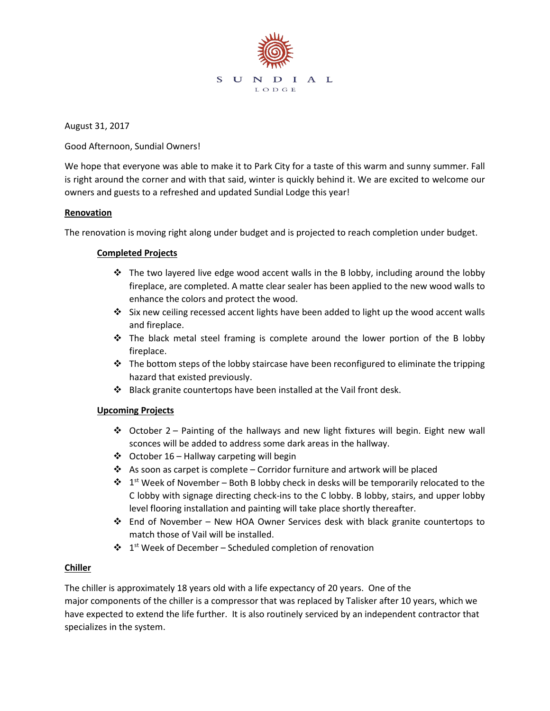

August 31, 2017

Good Afternoon, Sundial Owners!

We hope that everyone was able to make it to Park City for a taste of this warm and sunny summer. Fall is right around the corner and with that said, winter is quickly behind it. We are excited to welcome our owners and guests to a refreshed and updated Sundial Lodge this year!

## **Renovation**

The renovation is moving right along under budget and is projected to reach completion under budget.

## **Completed Projects**

- $\cdot \cdot$  The two layered live edge wood accent walls in the B lobby, including around the lobby fireplace, are completed. A matte clear sealer has been applied to the new wood walls to enhance the colors and protect the wood.
- Six new ceiling recessed accent lights have been added to light up the wood accent walls and fireplace.
- $\div$  The black metal steel framing is complete around the lower portion of the B lobby fireplace.
- $\cdot \cdot$  The bottom steps of the lobby staircase have been reconfigured to eliminate the tripping hazard that existed previously.
- Black granite countertops have been installed at the Vail front desk.

## **Upcoming Projects**

- October 2 Painting of the hallways and new light fixtures will begin. Eight new wall sconces will be added to address some dark areas in the hallway.
- $\div$  October 16 Hallway carpeting will begin
- $\cdot$  As soon as carpet is complete Corridor furniture and artwork will be placed
- $\mathbf{\hat{P}}$  1<sup>st</sup> Week of November Both B lobby check in desks will be temporarily relocated to the C lobby with signage directing check-ins to the C lobby. B lobby, stairs, and upper lobby level flooring installation and painting will take place shortly thereafter.
- End of November New HOA Owner Services desk with black granite countertops to match those of Vail will be installed.
- $\cdot \cdot$  1<sup>st</sup> Week of December Scheduled completion of renovation

## **Chiller**

The chiller is approximately 18 years old with a life expectancy of 20 years. One of the major components of the chiller is a compressor that was replaced by Talisker after 10 years, which we have expected to extend the life further. It is also routinely serviced by an independent contractor that specializes in the system.